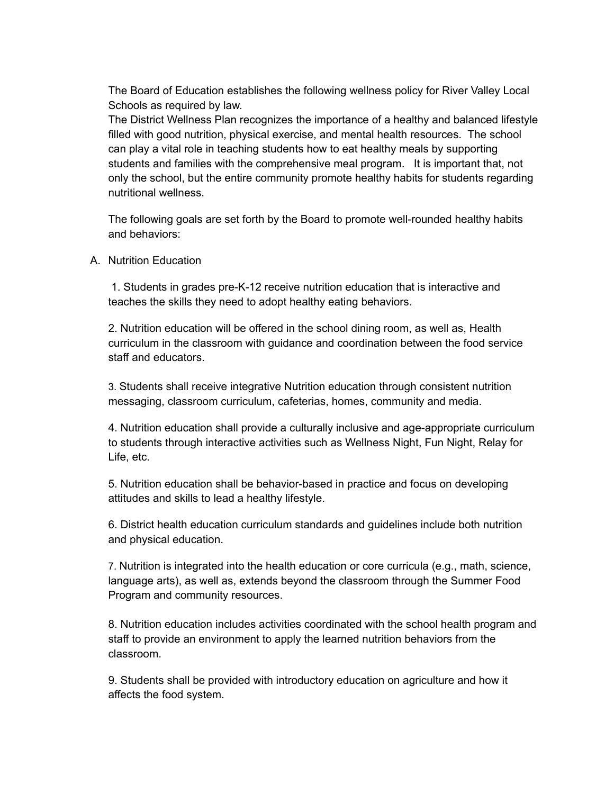The Board of Education establishes the following wellness policy for River Valley Local Schools as required by law.

The District Wellness Plan recognizes the importance of a healthy and balanced lifestyle filled with good nutrition, physical exercise, and mental health resources. The school can play a vital role in teaching students how to eat healthy meals by supporting students and families with the comprehensive meal program. It is important that, not only the school, but the entire community promote healthy habits for students regarding nutritional wellness.

The following goals are set forth by the Board to promote well-rounded healthy habits and behaviors:

A. Nutrition Education

1. Students in grades pre-K-12 receive nutrition education that is interactive and teaches the skills they need to adopt healthy eating behaviors.

2. Nutrition education will be offered in the school dining room, as well as, Health curriculum in the classroom with guidance and coordination between the food service staff and educators.

3. Students shall receive integrative Nutrition education through consistent nutrition messaging, classroom curriculum, cafeterias, homes, community and media.

4. Nutrition education shall provide a culturally inclusive and age-appropriate curriculum to students through interactive activities such as Wellness Night, Fun Night, Relay for Life, etc.

5. Nutrition education shall be behavior-based in practice and focus on developing attitudes and skills to lead a healthy lifestyle.

6. District health education curriculum standards and guidelines include both nutrition and physical education.

7. Nutrition is integrated into the health education or core curricula (e.g., math, science, language arts), as well as, extends beyond the classroom through the Summer Food Program and community resources.

8. Nutrition education includes activities coordinated with the school health program and staff to provide an environment to apply the learned nutrition behaviors from the classroom.

9. Students shall be provided with introductory education on agriculture and how it affects the food system.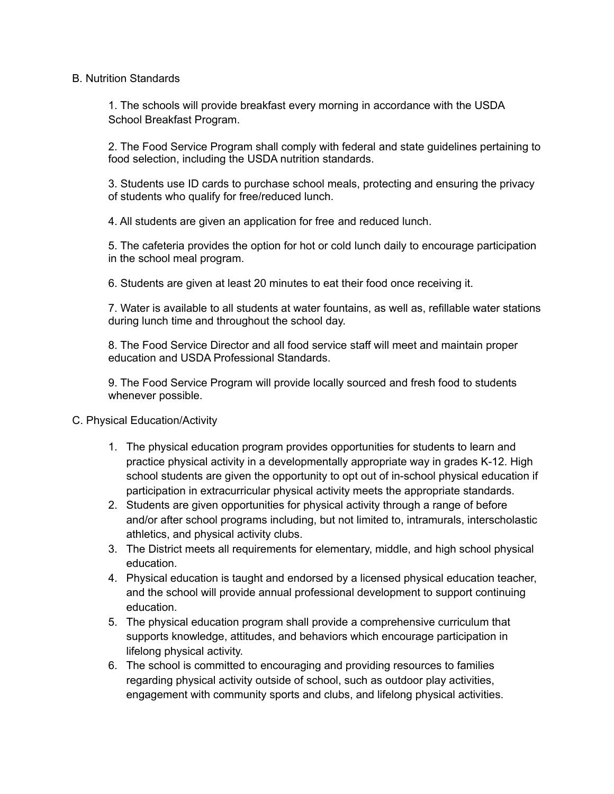## B. Nutrition Standards

1. The schools will provide breakfast every morning in accordance with the USDA School Breakfast Program.

2. The Food Service Program shall comply with federal and state guidelines pertaining to food selection, including the USDA nutrition standards.

3. Students use ID cards to purchase school meals, protecting and ensuring the privacy of students who qualify for free/reduced lunch.

4. All students are given an application for free and reduced lunch.

5. The cafeteria provides the option for hot or cold lunch daily to encourage participation in the school meal program.

6. Students are given at least 20 minutes to eat their food once receiving it.

7. Water is available to all students at water fountains, as well as, refillable water stations during lunch time and throughout the school day.

8. The Food Service Director and all food service staff will meet and maintain proper education and USDA Professional Standards.

9. The Food Service Program will provide locally sourced and fresh food to students whenever possible.

## C. Physical Education/Activity

- 1. The physical education program provides opportunities for students to learn and practice physical activity in a developmentally appropriate way in grades K-12. High school students are given the opportunity to opt out of in-school physical education if participation in extracurricular physical activity meets the appropriate standards.
- 2. Students are given opportunities for physical activity through a range of before and/or after school programs including, but not limited to, intramurals, interscholastic athletics, and physical activity clubs.
- 3. The District meets all requirements for elementary, middle, and high school physical education.
- 4. Physical education is taught and endorsed by a licensed physical education teacher, and the school will provide annual professional development to support continuing education.
- 5. The physical education program shall provide a comprehensive curriculum that supports knowledge, attitudes, and behaviors which encourage participation in lifelong physical activity.
- 6. The school is committed to encouraging and providing resources to families regarding physical activity outside of school, such as outdoor play activities, engagement with community sports and clubs, and lifelong physical activities.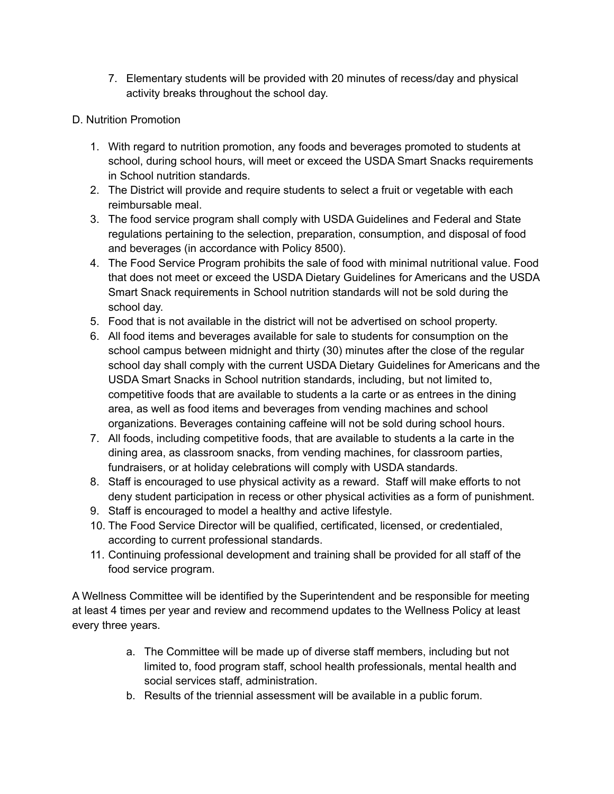- 7. Elementary students will be provided with 20 minutes of recess/day and physical activity breaks throughout the school day.
- D. Nutrition Promotion
	- 1. With regard to nutrition promotion, any foods and beverages promoted to students at school, during school hours, will meet or exceed the USDA Smart Snacks requirements in School nutrition standards.
	- 2. The District will provide and require students to select a fruit or vegetable with each reimbursable meal.
	- 3. The food service program shall comply with USDA Guidelines and Federal and State regulations pertaining to the selection, preparation, consumption, and disposal of food and beverages (in accordance with Policy 8500).
	- 4. The Food Service Program prohibits the sale of food with minimal nutritional value. Food that does not meet or exceed the USDA Dietary Guidelines for Americans and the USDA Smart Snack requirements in School nutrition standards will not be sold during the school day.
	- 5. Food that is not available in the district will not be advertised on school property.
	- 6. All food items and beverages available for sale to students for consumption on the school campus between midnight and thirty (30) minutes after the close of the regular school day shall comply with the current USDA Dietary Guidelines for Americans and the USDA Smart Snacks in School nutrition standards, including, but not limited to, competitive foods that are available to students a la carte or as entrees in the dining area, as well as food items and beverages from vending machines and school organizations. Beverages containing caffeine will not be sold during school hours.
	- 7. All foods, including competitive foods, that are available to students a la carte in the dining area, as classroom snacks, from vending machines, for classroom parties, fundraisers, or at holiday celebrations will comply with USDA standards.
	- 8. Staff is encouraged to use physical activity as a reward. Staff will make efforts to not deny student participation in recess or other physical activities as a form of punishment.
	- 9. Staff is encouraged to model a healthy and active lifestyle.
	- 10. The Food Service Director will be qualified, certificated, licensed, or credentialed, according to current professional standards.
	- 11. Continuing professional development and training shall be provided for all staff of the food service program.

A Wellness Committee will be identified by the Superintendent and be responsible for meeting at least 4 times per year and review and recommend updates to the Wellness Policy at least every three years.

- a. The Committee will be made up of diverse staff members, including but not limited to, food program staff, school health professionals, mental health and social services staff, administration.
- b. Results of the triennial assessment will be available in a public forum.